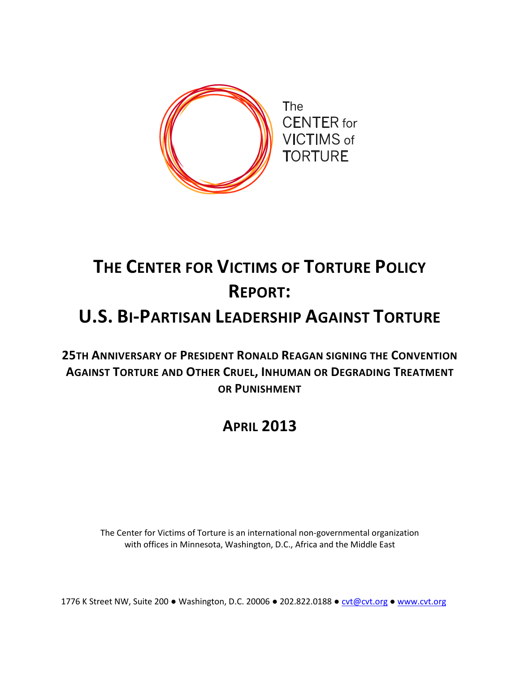

# **THE CENTER FOR VICTIMS OF TORTURE POLICY REPORT:**

## **U.S. BI-PARTISAN LEADERSHIP AGAINST TORTURE**

**25TH ANNIVERSARY OF PRESIDENT RONALD REAGAN SIGNING THE CONVENTION AGAINST TORTURE AND OTHER CRUEL, INHUMAN OR DEGRADING TREATMENT OR PUNISHMENT**

## **APRIL 2013**

The Center for Victims of Torture is an international non-governmental organization with offices in Minnesota, Washington, D.C., Africa and the Middle East

1776 K Street NW, Suite 200 ● Washington, D.C. 20006 ● 202.822.0188 ● [cvt@cvt.org](mailto:cvt@cvt.org) ● [www.cvt.org](http://www.cvt.org/)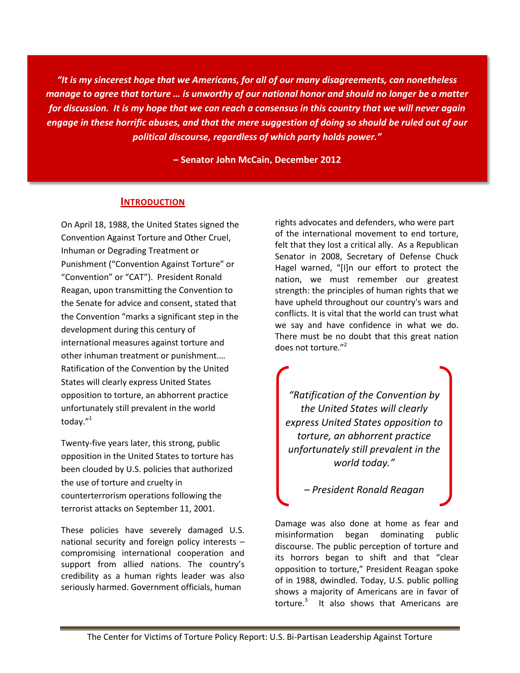*"It is my sincerest hope that we Americans, for all of our many disagreements, can nonetheless manage to agree that torture … is unworthy of our national honor and should no longer be a matter for discussion. It is my hope that we can reach a consensus in this country that we will never again engage in these horrific abuses, and that the mere suggestion of doing so should be ruled out of our political discourse, regardless of which party holds power."*

**– Senator John McCain, December 2012**

#### **INTRODUCTION**

On April 18, 1988, the United States signed the Convention Against Torture and Other Cruel, Inhuman or Degrading Treatment or Punishment ("Convention Against Torture" or "Convention" or "CAT"). President Ronald Reagan, upon transmitting the Convention to the Senate for advice and consent, stated that the Convention "marks a significant step in the development during this century of international measures against torture and other inhuman treatment or punishment.… Ratification of the Convention by the United States will clearly express United States opposition to torture, an abhorrent practice unfortunately still prevalent in the world today."<sup>1</sup>

Twenty-five years later, this strong, public opposition in the United States to torture has been clouded by U.S. policies that authorized the use of torture and cruelty in counterterrorism operations following the terrorist attacks on September 11, 2001.

These policies have severely damaged U.S. national security and foreign policy interests – compromising international cooperation and support from allied nations. The country's credibility as a human rights leader was also seriously harmed. Government officials, human

rights advocates and defenders, who were part of the international movement to end torture, felt that they lost a critical ally. As a Republican Senator in 2008, Secretary of Defense Chuck Hagel warned, "[I]n our effort to protect the nation, we must remember our greatest strength: the principles of human rights that we have upheld throughout our country's wars and conflicts. It is vital that the world can trust what we say and have confidence in what we do. There must be no doubt that this great nation does not torture."<sup>2</sup>

*"Ratification of the Convention by the United States will clearly express United States opposition to torture, an abhorrent practice unfortunately still prevalent in the world today."* 

*– President Ronald Reagan*

Damage was also done at home as fear and misinformation began dominating public discourse. The public perception of torture and its horrors began to shift and that "clear opposition to torture," President Reagan spoke of in 1988, dwindled. Today, U.S. public polling shows a majority of Americans are in favor of torture. $3$  It also shows that Americans are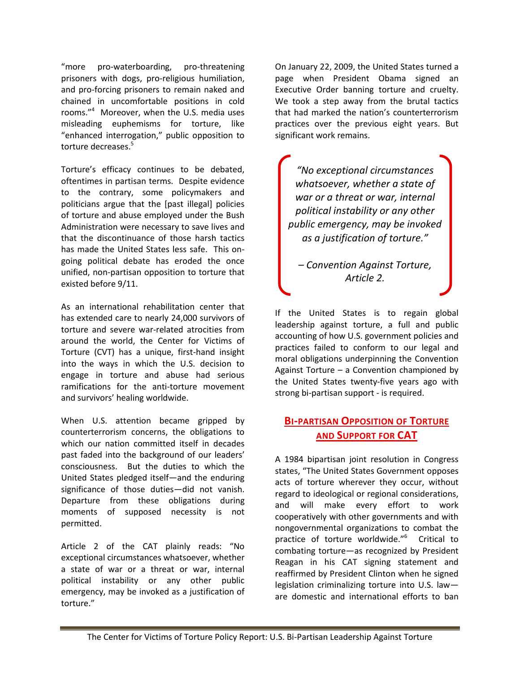"more pro-waterboarding, pro-threatening prisoners with dogs, pro-religious humiliation, and pro-forcing prisoners to remain naked and chained in uncomfortable positions in cold rooms."<sup>4</sup> Moreover, when the U.S. media uses misleading euphemisms for torture, like "enhanced interrogation," public opposition to torture decreases.<sup>5</sup>

Torture's efficacy continues to be debated, oftentimes in partisan terms. Despite evidence to the contrary, some policymakers and politicians argue that the [past illegal] policies of torture and abuse employed under the Bush Administration were necessary to save lives and that the discontinuance of those harsh tactics has made the United States less safe. This ongoing political debate has eroded the once unified, non-partisan opposition to torture that existed before 9/11.

As an international rehabilitation center that has extended care to nearly 24,000 survivors of torture and severe war-related atrocities from around the world, the Center for Victims of Torture (CVT) has a unique, first-hand insight into the ways in which the U.S. decision to engage in torture and abuse had serious ramifications for the anti-torture movement and survivors' healing worldwide.

When U.S. attention became gripped by counterterrorism concerns, the obligations to which our nation committed itself in decades past faded into the background of our leaders' consciousness. But the duties to which the United States pledged itself—and the enduring significance of those duties—did not vanish. Departure from these obligations during moments of supposed necessity is not permitted.

Article 2 of the CAT plainly reads: "No exceptional circumstances whatsoever, whether a state of war or a threat or war, internal political instability or any other public emergency, may be invoked as a justification of torture."

On January 22, 2009, the United States turned a page when President Obama signed an Executive Order banning torture and cruelty. We took a step away from the brutal tactics that had marked the nation's counterterrorism practices over the previous eight years. But significant work remains.

*"No exceptional circumstances whatsoever, whether a state of war or a threat or war, internal political instability or any other public emergency, may be invoked as a justification of torture."*

*– Convention Against Torture, Article 2.*

If the United States is to regain global leadership against torture, a full and public accounting of how U.S. government policies and practices failed to conform to our legal and moral obligations underpinning the Convention Against Torture – a Convention championed by the United States twenty-five years ago with strong bi-partisan support - is required.

#### **BI-PARTISAN OPPOSITION OF TORTURE AND SUPPORT FOR CAT**

A 1984 bipartisan joint resolution in Congress states, "The United States Government opposes acts of torture wherever they occur, without regard to ideological or regional considerations, and will make every effort to work cooperatively with other governments and with nongovernmental organizations to combat the practice of torture worldwide."<sup>6</sup> Critical to combating torture—as recognized by President Reagan in his CAT signing statement and reaffirmed by President Clinton when he signed legislation criminalizing torture into U.S. law are domestic and international efforts to ban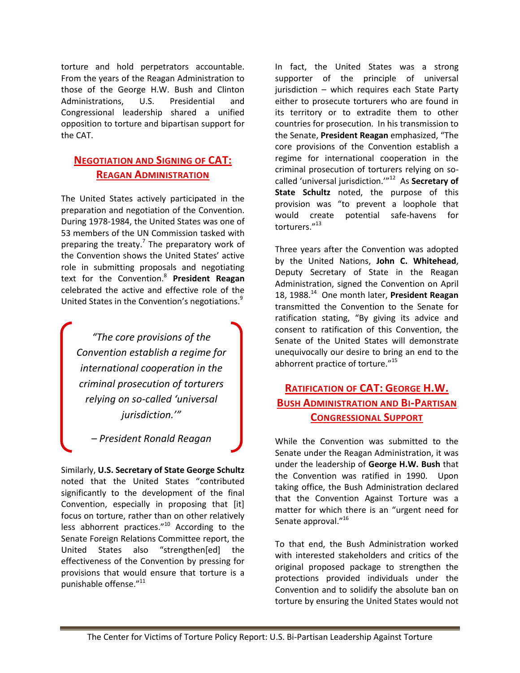torture and hold perpetrators accountable. From the years of the Reagan Administration to those of the George H.W. Bush and Clinton Administrations, U.S. Presidential and Congressional leadership shared a unified opposition to torture and bipartisan support for the CAT.

#### **NEGOTIATION AND SIGNING OF CAT: REAGAN ADMINISTRATION**

The United States actively participated in the preparation and negotiation of the Convention. During 1978-1984, the United States was one of 53 members of the UN Commission tasked with preparing the treaty.<sup>7</sup> The preparatory work of the Convention shows the United States' active role in submitting proposals and negotiating text for the Convention.<sup>8</sup> **President Reagan**  celebrated the active and effective role of the United States in the Convention's negotiations.<sup>9</sup>

*"The core provisions of the Convention establish a regime for international cooperation in the criminal prosecution of torturers relying on so-called 'universal jurisdiction.'"*

*– President Ronald Reagan*

Similarly, **U.S. Secretary of State George Schultz** noted that the United States "contributed significantly to the development of the final Convention, especially in proposing that [it] focus on torture, rather than on other relatively less abhorrent practices."<sup>10</sup> According to the Senate Foreign Relations Committee report, the United States also "strengthen[ed] the effectiveness of the Convention by pressing for provisions that would ensure that torture is a punishable offense."<sup>11</sup>

In fact, the United States was a strong supporter of the principle of universal jurisdiction – which requires each State Party either to prosecute torturers who are found in its territory or to extradite them to other countries for prosecution. In his transmission to the Senate, **President Reagan** emphasized, "The core provisions of the Convention establish a regime for international cooperation in the criminal prosecution of torturers relying on socalled 'universal jurisdiction.'"<sup>12</sup> As **Secretary of State Schultz** noted, the purpose of this provision was "to prevent a loophole that would create potential safe-havens for torturers."<sup>13</sup>

Three years after the Convention was adopted by the United Nations, **John C. Whitehead**, Deputy Secretary of State in the Reagan Administration, signed the Convention on April 18, 1988.<sup>14</sup> One month later, **President Reagan** transmitted the Convention to the Senate for ratification stating, "By giving its advice and consent to ratification of this Convention, the Senate of the United States will demonstrate unequivocally our desire to bring an end to the abhorrent practice of torture."<sup>15</sup>

#### **RATIFICATION OF CAT: GEORGE H.W. BUSH ADMINISTRATION AND BI-PARTISAN CONGRESSIONAL SUPPORT**

While the Convention was submitted to the Senate under the Reagan Administration, it was under the leadership of **George H.W. Bush** that the Convention was ratified in 1990. Upon taking office, the Bush Administration declared that the Convention Against Torture was a matter for which there is an "urgent need for Senate approval."<sup>16</sup>

To that end, the Bush Administration worked with interested stakeholders and critics of the original proposed package to strengthen the protections provided individuals under the Convention and to solidify the absolute ban on torture by ensuring the United States would not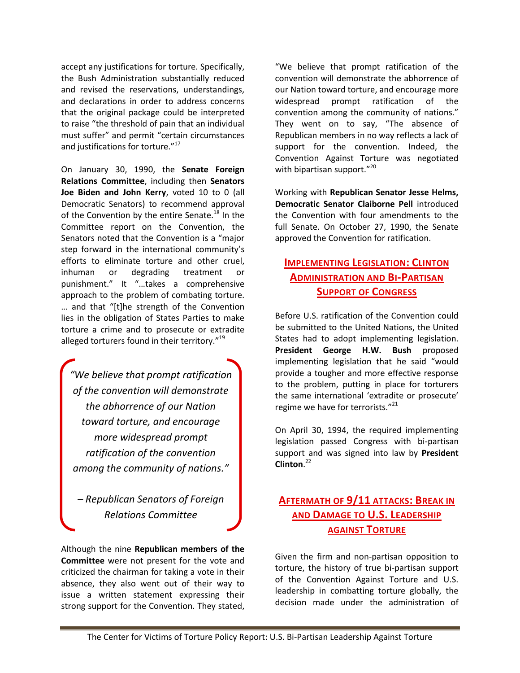accept any justifications for torture. Specifically, the Bush Administration substantially reduced and revised the reservations, understandings, and declarations in order to address concerns that the original package could be interpreted to raise "the threshold of pain that an individual must suffer" and permit "certain circumstances and justifications for torture."<sup>17</sup>

On January 30, 1990, the **Senate Foreign Relations Committee**, including then **Senators Joe Biden and John Kerry**, voted 10 to 0 (all Democratic Senators) to recommend approval of the Convention by the entire Senate.<sup>18</sup> In the Committee report on the Convention, the Senators noted that the Convention is a "major step forward in the international community's efforts to eliminate torture and other cruel, inhuman or degrading treatment or punishment." It "…takes a comprehensive approach to the problem of combating torture. … and that "[t]he strength of the Convention lies in the obligation of States Parties to make torture a crime and to prosecute or extradite alleged torturers found in their territory."<sup>19</sup>

*"We believe that prompt ratification of the convention will demonstrate the abhorrence of our Nation toward torture, and encourage more widespread prompt ratification of the convention among the community of nations."*

*– Republican Senators of Foreign Relations Committee*

Although the nine **Republican members of the Committee** were not present for the vote and criticized the chairman for taking a vote in their absence, they also went out of their way to issue a written statement expressing their strong support for the Convention. They stated, "We believe that prompt ratification of the convention will demonstrate the abhorrence of our Nation toward torture, and encourage more widespread prompt ratification of the convention among the community of nations." They went on to say, "The absence of Republican members in no way reflects a lack of support for the convention. Indeed, the Convention Against Torture was negotiated with bipartisan support."<sup>20</sup>

Working with **Republican Senator Jesse Helms, Democratic Senator Claiborne Pell** introduced the Convention with four amendments to the full Senate. On October 27, 1990, the Senate approved the Convention for ratification.

#### **IMPLEMENTING LEGISLATION: CLINTON ADMINISTRATION AND BI-PARTISAN SUPPORT OF CONGRESS**

Before U.S. ratification of the Convention could be submitted to the United Nations, the United States had to adopt implementing legislation. **President George H.W. Bush** proposed implementing legislation that he said "would provide a tougher and more effective response to the problem, putting in place for torturers the same international 'extradite or prosecute' regime we have for terrorists."<sup>21</sup>

On April 30, 1994, the required implementing legislation passed Congress with bi-partisan support and was signed into law by **President Clinton**. 22

#### **AFTERMATH OF 9/11 ATTACKS: BREAK IN AND DAMAGE TO U.S. LEADERSHIP AGAINST TORTURE**

Given the firm and non-partisan opposition to torture, the history of true bi-partisan support of the Convention Against Torture and U.S. leadership in combatting torture globally, the decision made under the administration of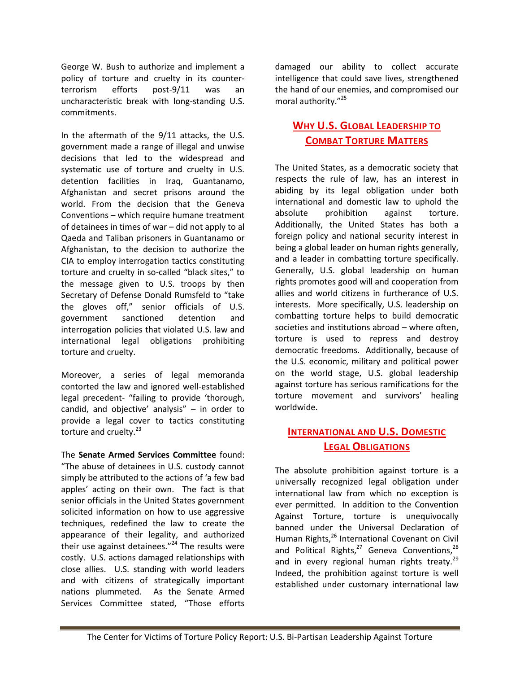George W. Bush to authorize and implement a policy of torture and cruelty in its counterterrorism efforts post-9/11 was an uncharacteristic break with long-standing U.S. commitments.

In the aftermath of the 9/11 attacks, the U.S. government made a range of illegal and unwise decisions that led to the widespread and systematic use of torture and cruelty in U.S. detention facilities in Iraq, Guantanamo, Afghanistan and secret prisons around the world. From the decision that the Geneva Conventions – which require humane treatment of detainees in times of war – did not apply to al Qaeda and Taliban prisoners in Guantanamo or Afghanistan, to the decision to authorize the CIA to employ interrogation tactics constituting torture and cruelty in so-called "black sites," to the message given to U.S. troops by then Secretary of Defense Donald Rumsfeld to "take the gloves off," senior officials of U.S. government sanctioned detention and interrogation policies that violated U.S. law and international legal obligations prohibiting torture and cruelty.

Moreover, a series of legal memoranda contorted the law and ignored well-established legal precedent- "failing to provide 'thorough, candid, and objective' analysis" – in order to provide a legal cover to tactics constituting torture and cruelty.<sup>23</sup>

The **Senate Armed Services Committee** found: "The abuse of detainees in U.S. custody cannot simply be attributed to the actions of 'a few bad apples' acting on their own. The fact is that senior officials in the United States government solicited information on how to use aggressive techniques, redefined the law to create the appearance of their legality, and authorized their use against detainees." $^{24}$  The results were costly. U.S. actions damaged relationships with close allies. U.S. standing with world leaders and with citizens of strategically important nations plummeted. As the Senate Armed Services Committee stated, "Those efforts

damaged our ability to collect accurate intelligence that could save lives, strengthened the hand of our enemies, and compromised our moral authority."<sup>25</sup>

### **WHY U.S. GLOBAL LEADERSHIP TO COMBAT TORTURE MATTERS**

The United States, as a democratic society that respects the rule of law, has an interest in abiding by its legal obligation under both international and domestic law to uphold the absolute prohibition against torture. Additionally, the United States has both a foreign policy and national security interest in being a global leader on human rights generally, and a leader in combatting torture specifically. Generally, U.S. global leadership on human rights promotes good will and cooperation from allies and world citizens in furtherance of U.S. interests. More specifically, U.S. leadership on combatting torture helps to build democratic societies and institutions abroad – where often, torture is used to repress and destroy democratic freedoms. Additionally, because of the U.S. economic, military and political power on the world stage, U.S. global leadership against torture has serious ramifications for the torture movement and survivors' healing worldwide.

### **INTERNATIONAL AND U.S. DOMESTIC LEGAL OBLIGATIONS**

The absolute prohibition against torture is a universally recognized legal obligation under international law from which no exception is ever permitted. In addition to the Convention Against Torture, torture is unequivocally banned under the Universal Declaration of Human Rights,<sup>26</sup> International Covenant on Civil and Political Rights, $^{27}$  Geneva Conventions, $^{28}$ and in every regional human rights treaty.<sup>29</sup> Indeed, the prohibition against torture is well established under customary international law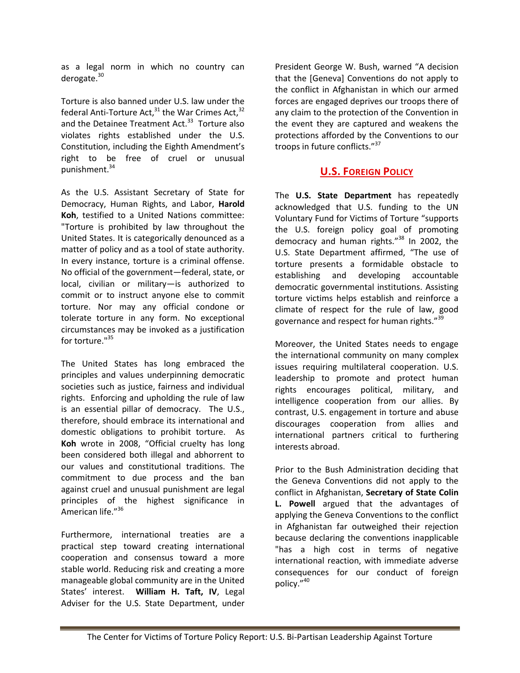as a legal norm in which no country can derogate.<sup>30</sup>

Torture is also banned under U.S. law under the federal Anti-Torture Act, $31$  the War Crimes Act, $32$ and the Detainee Treatment Act.<sup>33</sup> Torture also violates rights established under the U.S. Constitution, including the Eighth Amendment's right to be free of cruel or unusual punishment.<sup>34</sup>

As the U.S. Assistant Secretary of State for Democracy, Human Rights, and Labor, **Harold Koh**, testified to a United Nations committee: "Torture is prohibited by law throughout the United States. It is categorically denounced as a matter of policy and as a tool of state authority. In every instance, torture is a criminal offense. No official of the government—federal, state, or local, civilian or military—is authorized to commit or to instruct anyone else to commit torture. Nor may any official condone or tolerate torture in any form. No exceptional circumstances may be invoked as a justification for torture."35

The United States has long embraced the principles and values underpinning democratic societies such as justice, fairness and individual rights. Enforcing and upholding the rule of law is an essential pillar of democracy. The U.S., therefore, should embrace its international and domestic obligations to prohibit torture. As **Koh** wrote in 2008, "Official cruelty has long been considered both illegal and abhorrent to our values and constitutional traditions. The commitment to due process and the ban against cruel and unusual punishment are legal principles of the highest significance in American life."<sup>36</sup>

Furthermore, international treaties are a practical step toward creating international cooperation and consensus toward a more stable world. Reducing risk and creating a more manageable global community are in the United States' interest. **William H. Taft, IV**, Legal Adviser for the U.S. State Department, under

President George W. Bush, warned "A decision that the [Geneva] Conventions do not apply to the conflict in Afghanistan in which our armed forces are engaged deprives our troops there of any claim to the protection of the Convention in the event they are captured and weakens the protections afforded by the Conventions to our troops in future conflicts."<sup>37</sup>

#### **U.S. FOREIGN POLICY**

The **U.S. State Department** has repeatedly acknowledged that U.S. funding to the UN Voluntary Fund for Victims of Torture "supports the U.S. foreign policy goal of promoting democracy and human rights."<sup>38</sup> In 2002, the U.S. State Department affirmed, "The use of torture presents a formidable obstacle to establishing and developing accountable democratic governmental institutions. Assisting torture victims helps establish and reinforce a climate of respect for the rule of law, good governance and respect for human rights."<sup>39</sup>

Moreover, the United States needs to engage the international community on many complex issues requiring multilateral cooperation. U.S. leadership to promote and protect human rights encourages political, military, and intelligence cooperation from our allies. By contrast, U.S. engagement in torture and abuse discourages cooperation from allies and international partners critical to furthering interests abroad.

Prior to the Bush Administration deciding that the Geneva Conventions did not apply to the conflict in Afghanistan, **Secretary of State Colin L. Powell** argued that the advantages of applying the Geneva Conventions to the conflict in Afghanistan far outweighed their rejection because declaring the conventions inapplicable "has a high cost in terms of negative international reaction, with immediate adverse consequences for our conduct of foreign policy."<sup>40</sup>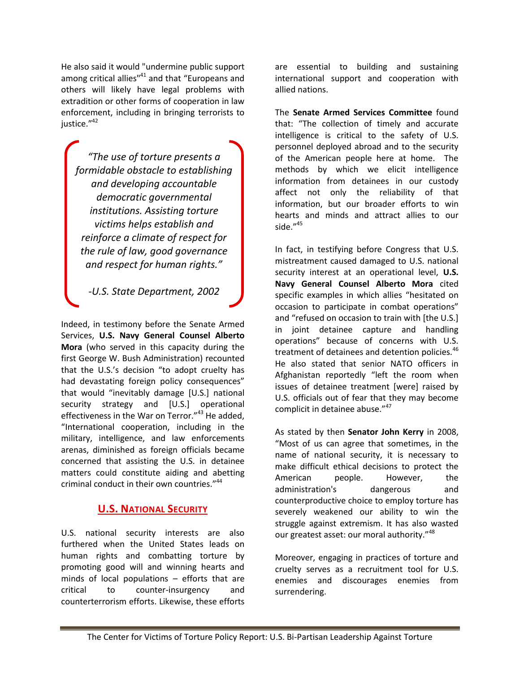He also said it would "undermine public support among critical allies"<sup>41</sup> and that "Europeans and others will likely have legal problems with extradition or other forms of cooperation in law enforcement, including in bringing terrorists to justice."<sup>42</sup>

*"The use of torture presents a formidable obstacle to establishing and developing accountable democratic governmental institutions. Assisting torture victims helps establish and reinforce a climate of respect for the rule of law, good governance and respect for human rights."*

*-U.S. State Department, 2002*

Indeed, in testimony before the Senate Armed Services, **U.S. Navy General Counsel Alberto Mora** (who served in this capacity during the first George W. Bush Administration) recounted that the U.S.'s decision "to adopt cruelty has had devastating foreign policy consequences" that would "inevitably damage [U.S.] national security strategy and [U.S.] operational effectiveness in the War on Terror."<sup>43</sup> He added, "International cooperation, including in the military, intelligence, and law enforcements arenas, diminished as foreign officials became concerned that assisting the U.S. in detainee matters could constitute aiding and abetting criminal conduct in their own countries."<sup>44</sup>

#### **U.S. NATIONAL SECURITY**

U.S. national security interests are also furthered when the United States leads on human rights and combatting torture by promoting good will and winning hearts and minds of local populations – efforts that are critical to counter-insurgency and counterterrorism efforts. Likewise, these efforts

are essential to building and sustaining international support and cooperation with allied nations.

The **Senate Armed Services Committee** found that: "The collection of timely and accurate intelligence is critical to the safety of U.S. personnel deployed abroad and to the security of the American people here at home. The methods by which we elicit intelligence information from detainees in our custody affect not only the reliability of that information, but our broader efforts to win hearts and minds and attract allies to our side."<sup>45</sup>

In fact, in testifying before Congress that U.S. mistreatment caused damaged to U.S. national security interest at an operational level, **U.S. Navy General Counsel Alberto Mora** cited specific examples in which allies "hesitated on occasion to participate in combat operations" and "refused on occasion to train with [the U.S.] in joint detainee capture and handling operations" because of concerns with U.S. treatment of detainees and detention policies.<sup>46</sup> He also stated that senior NATO officers in Afghanistan reportedly "left the room when issues of detainee treatment [were] raised by U.S. officials out of fear that they may become complicit in detainee abuse."<sup>47</sup>

As stated by then **Senator John Kerry** in 2008, "Most of us can agree that sometimes, in the name of national security, it is necessary to make difficult ethical decisions to protect the American people. However, the administration's dangerous and counterproductive choice to employ torture has severely weakened our ability to win the struggle against extremism. It has also wasted our greatest asset: our moral authority."<sup>48</sup>

Moreover, engaging in practices of torture and cruelty serves as a recruitment tool for U.S. enemies and discourages enemies from surrendering.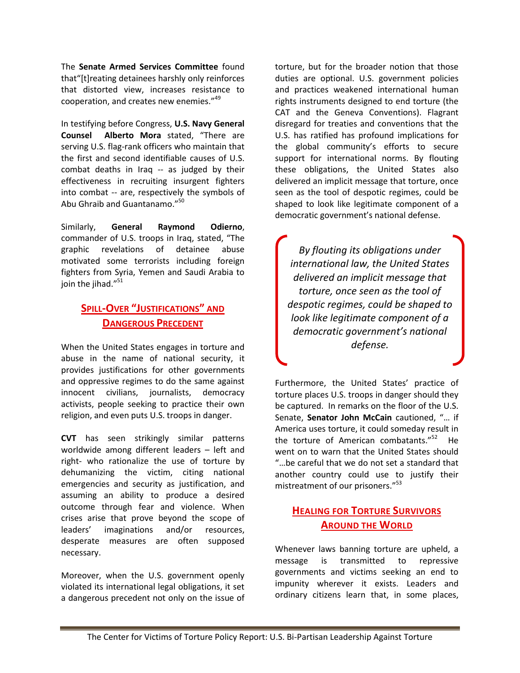The **Senate Armed Services Committee** found that"[t]reating detainees harshly only reinforces that distorted view, increases resistance to cooperation, and creates new enemies."<sup>49</sup>

In testifying before Congress, **U.S. Navy General Counsel Alberto Mora** stated, "There are serving U.S. flag-rank officers who maintain that the first and second identifiable causes of U.S. combat deaths in Iraq -- as judged by their effectiveness in recruiting insurgent fighters into combat -- are, respectively the symbols of Abu Ghraib and Guantanamo."<sup>50</sup>

Similarly, **General Raymond Odierno**, commander of U.S. troops in Iraq, stated, "The graphic revelations of detainee abuse motivated some terrorists including foreign fighters from Syria, Yemen and Saudi Arabia to join the jihad."<sup>51</sup>

#### **SPILL-OVER "JUSTIFICATIONS" AND DANGEROUS PRECEDENT**

When the United States engages in torture and abuse in the name of national security, it provides justifications for other governments and oppressive regimes to do the same against innocent civilians, journalists, democracy activists, people seeking to practice their own religion, and even puts U.S. troops in danger.

**CVT** has seen strikingly similar patterns worldwide among different leaders – left and right- who rationalize the use of torture by dehumanizing the victim, citing national emergencies and security as justification, and assuming an ability to produce a desired outcome through fear and violence. When crises arise that prove beyond the scope of leaders' imaginations and/or resources, desperate measures are often supposed necessary.

Moreover, when the U.S. government openly violated its international legal obligations, it set a dangerous precedent not only on the issue of torture, but for the broader notion that those duties are optional. U.S. government policies and practices weakened international human rights instruments designed to end torture (the CAT and the Geneva Conventions). Flagrant disregard for treaties and conventions that the U.S. has ratified has profound implications for the global community's efforts to secure support for international norms. By flouting these obligations, the United States also delivered an implicit message that torture, once seen as the tool of despotic regimes, could be shaped to look like legitimate component of a democratic government's national defense.

*By flouting its obligations under international law, the United States delivered an implicit message that torture, once seen as the tool of despotic regimes, could be shaped to look like legitimate component of a democratic government's national defense.*

Furthermore, the United States' practice of torture places U.S. troops in danger should they be captured. In remarks on the floor of the U.S. Senate, **Senator John McCain** cautioned, "… if America uses torture, it could someday result in the torture of American combatants."<sup>52</sup> He went on to warn that the United States should "…be careful that we do not set a standard that another country could use to justify their mistreatment of our prisoners." 53

### **HEALING FOR TORTURE SURVIVORS AROUND THE WORLD**

Whenever laws banning torture are upheld, a message is transmitted to repressive governments and victims seeking an end to impunity wherever it exists. Leaders and ordinary citizens learn that, in some places,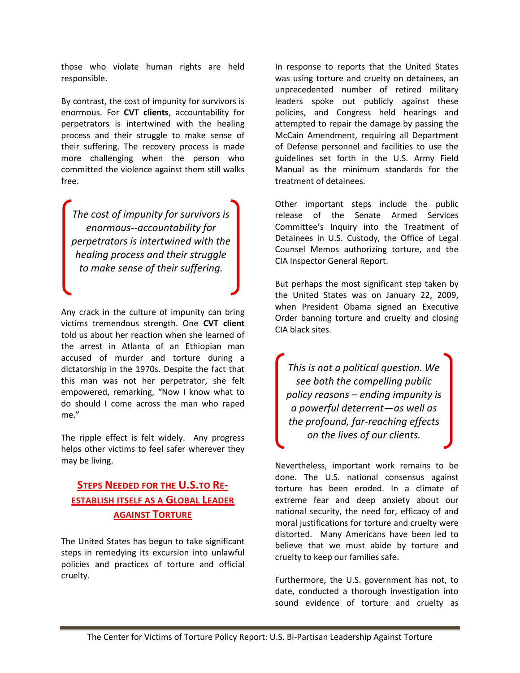those who violate human rights are held responsible.

By contrast, the cost of impunity for survivors is enormous. For **CVT clients**, accountability for perpetrators is intertwined with the healing process and their struggle to make sense of their suffering. The recovery process is made more challenging when the person who committed the violence against them still walks free.

*The cost of impunity for survivors is enormous--accountability for perpetrators is intertwined with the healing process and their struggle to make sense of their suffering.*

Any crack in the culture of impunity can bring victims tremendous strength. One **CVT client** told us about her reaction when she learned of the arrest in Atlanta of an Ethiopian man accused of murder and torture during a dictatorship in the 1970s. Despite the fact that this man was not her perpetrator, she felt empowered, remarking, "Now I know what to do should I come across the man who raped me."

The ripple effect is felt widely. Any progress helps other victims to feel safer wherever they may be living.

### **STEPS NEEDED FOR THE U.S.TO RE-ESTABLISH ITSELF AS A GLOBAL LEADER AGAINST TORTURE**

The United States has begun to take significant steps in remedying its excursion into unlawful policies and practices of torture and official cruelty.

In response to reports that the United States was using torture and cruelty on detainees, an unprecedented number of retired military leaders spoke out publicly against these policies, and Congress held hearings and attempted to repair the damage by passing the McCain Amendment, requiring all Department of Defense personnel and facilities to use the guidelines set forth in the U.S. Army Field Manual as the minimum standards for the treatment of detainees.

Other important steps include the public release of the Senate Armed Services Committee's Inquiry into the Treatment of Detainees in U.S. Custody, the Office of Legal Counsel Memos authorizing torture, and the CIA Inspector General Report.

But perhaps the most significant step taken by the United States was on January 22, 2009, when President Obama signed an Executive Order banning torture and cruelty and closing CIA black sites.

*This is not a political question. We see both the compelling public policy reasons – ending impunity is a powerful deterrent—as well as the profound, far-reaching effects on the lives of our clients.*

Nevertheless, important work remains to be done. The U.S. national consensus against torture has been eroded. In a climate of extreme fear and deep anxiety about our national security, the need for, efficacy of and moral justifications for torture and cruelty were distorted. Many Americans have been led to believe that we must abide by torture and cruelty to keep our families safe.

Furthermore, the U.S. government has not, to date, conducted a thorough investigation into sound evidence of torture and cruelty as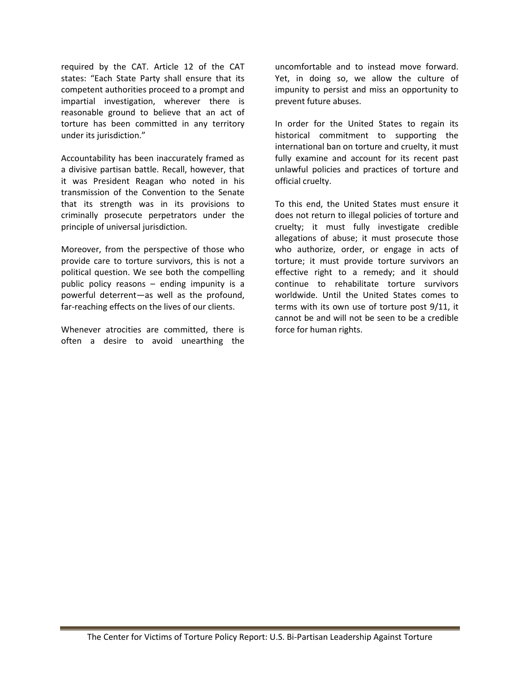required by the CAT. Article 12 of the CAT states: "Each State Party shall ensure that its competent authorities proceed to a prompt and impartial investigation, wherever there is reasonable ground to believe that an act of torture has been committed in any territory under its jurisdiction."

Accountability has been inaccurately framed as a divisive partisan battle. Recall, however, that it was President Reagan who noted in his transmission of the Convention to the Senate that its strength was in its provisions to criminally prosecute perpetrators under the principle of universal jurisdiction.

Moreover, from the perspective of those who provide care to torture survivors, this is not a political question. We see both the compelling public policy reasons – ending impunity is a powerful deterrent—as well as the profound, far-reaching effects on the lives of our clients.

Whenever atrocities are committed, there is often a desire to avoid unearthing the

uncomfortable and to instead move forward. Yet, in doing so, we allow the culture of impunity to persist and miss an opportunity to prevent future abuses.

In order for the United States to regain its historical commitment to supporting the international ban on torture and cruelty, it must fully examine and account for its recent past unlawful policies and practices of torture and official cruelty.

To this end, the United States must ensure it does not return to illegal policies of torture and cruelty; it must fully investigate credible allegations of abuse; it must prosecute those who authorize, order, or engage in acts of torture; it must provide torture survivors an effective right to a remedy; and it should continue to rehabilitate torture survivors worldwide. Until the United States comes to terms with its own use of torture post 9/11, it cannot be and will not be seen to be a credible force for human rights.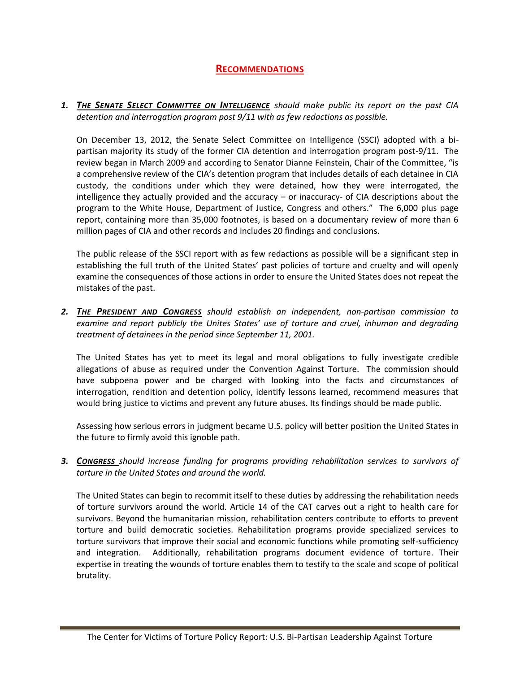#### **RECOMMENDATIONS**

*1. THE SENATE SELECT COMMITTEE ON INTELLIGENCE should make public its report on the past CIA detention and interrogation program post 9/11 with as few redactions as possible.*

On December 13, 2012, the Senate Select Committee on Intelligence (SSCI) adopted with a bipartisan majority its study of the former CIA detention and interrogation program post-9/11. The review began in March 2009 and according to Senator Dianne Feinstein, Chair of the Committee, "is a comprehensive review of the CIA's detention program that includes details of each detainee in CIA custody, the conditions under which they were detained, how they were interrogated, the intelligence they actually provided and the accuracy – or inaccuracy- of CIA descriptions about the program to the White House, Department of Justice, Congress and others." The 6,000 plus page report, containing more than 35,000 footnotes, is based on a documentary review of more than 6 million pages of CIA and other records and includes 20 findings and conclusions.

The public release of the SSCI report with as few redactions as possible will be a significant step in establishing the full truth of the United States' past policies of torture and cruelty and will openly examine the consequences of those actions in order to ensure the United States does not repeat the mistakes of the past.

*2. THE PRESIDENT AND CONGRESS should establish an independent, non-partisan commission to examine and report publicly the Unites States' use of torture and cruel, inhuman and degrading treatment of detainees in the period since September 11, 2001.*

The United States has yet to meet its legal and moral obligations to fully investigate credible allegations of abuse as required under the Convention Against Torture. The commission should have subpoena power and be charged with looking into the facts and circumstances of interrogation, rendition and detention policy, identify lessons learned, recommend measures that would bring justice to victims and prevent any future abuses. Its findings should be made public.

Assessing how serious errors in judgment became U.S. policy will better position the United States in the future to firmly avoid this ignoble path.

*3. CONGRESS should increase funding for programs providing rehabilitation services to survivors of torture in the United States and around the world.* 

The United States can begin to recommit itself to these duties by addressing the rehabilitation needs of torture survivors around the world. Article 14 of the CAT carves out a right to health care for survivors. Beyond the humanitarian mission, rehabilitation centers contribute to efforts to prevent torture and build democratic societies. Rehabilitation programs provide specialized services to torture survivors that improve their social and economic functions while promoting self-sufficiency and integration. Additionally, rehabilitation programs document evidence of torture. Their expertise in treating the wounds of torture enables them to testify to the scale and scope of political brutality.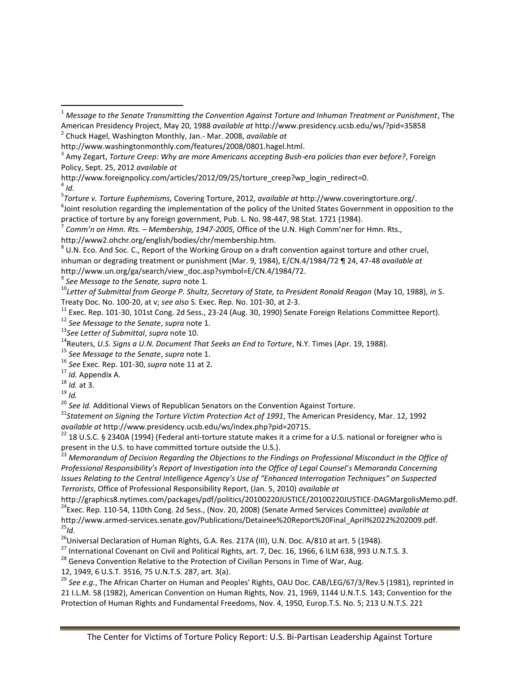http://www.foreignpolicy.com/articles/2012/09/25/torture\_creep?wp\_login\_redirect=0.

4 *Id.*

 $\overline{\phantom{a}}$ 

5 *Torture v. Torture Euphemisms,* Covering Torture, 2012, *available at* http://www.coveringtorture.org/.

6 Joint resolution regarding the implementation of the policy of the United States Government in opposition to the practice of torture by any foreign government, Pub. L. No. 98-447, 98 Stat. 1721 (1984).

 $^8$  U.N. Eco. And Soc. C., Report of the Working Group on a draft convention against torture and other cruel, inhuman or degrading treatment or punishment (Mar. 9, 1984), E/CN.4/1984/72 ¶ 24, 47-48 *available at* http://www.un.org/ga/search/view\_doc.asp?symbol=E/CN.4/1984/72.

9 *See Message to the Senate, supra* note 1.

<sup>10</sup>*Letter of Submittal from George P. Shultz, Secretary of State, to President Ronald Reagan* (May 10, 1988), *in* S. Treaty Doc. No. 100-20, at v; *see also* S. Exec. Rep. No. 101-30, at 2-3.

<sup>11</sup> Exec. Rep. 101-30, 101st Cong. 2d Sess., 23-24 (Aug. 30, 1990) Senate Foreign Relations Committee Report).

<sup>12</sup> *See Message to the Senate*, *supra* note 1.

<sup>13</sup>*See Letter of Submittal*, *supra* note 10.

<sup>14</sup> Reuters, U.S. Signs a U.N. Document That Seeks an End to Torture, N.Y. Times (Apr. 19, 1988).

<sup>15</sup> *See Message to the Senate*, *supra* note 1.

<sup>16</sup> *See* Exec. Rep. 101-30, *supra* note 11 at 2.

<sup>17</sup> *Id.* Appendix A.

<sup>18</sup> *Id.* at 3.

<sup>19</sup> *Id.*

<sup>20</sup> See Id. Additional Views of Republican Senators on the Convention Against Torture.

<sup>21</sup>Statement on Signing the Torture Victim Protection Act of 1991, The American Presidency, Mar. 12, 1992 *available at* http://www.presidency.ucsb.edu/ws/index.php?pid=20715.

<sup>22</sup> 18 U.S.C. § 2340A (1994) (Federal anti-torture statute makes it a crime for a U.S. national or foreigner who is present in the U.S. to have committed torture outside the U.S.).

<sup>23</sup> Memorandum of Decision Regarding the Objections to the Findings on Professional Misconduct in the Office of *Professional Responsibility's Report of Investigation into the Office of Legal Counsel's Memoranda Concerning Issues Relating to the Central Intelligence Agency's Use of "Enhanced Interrogation Techniques" on Suspected Terrorists*, Office of Professional Responsibility Report, (Jan. 5, 2010) *available at*

http://graphics8.nytimes.com/packages/pdf/politics/20100220JUSTICE/20100220JUSTICE-DAGMargolisMemo.pdf. <sup>24</sup>Exec. Rep. 110-54, 110th Cong. 2d Sess., (Nov. 20, 2008) (Senate Armed Services Committee) *available at*  http://www.armed-services.senate.gov/Publications/Detainee%20Report%20Final\_April%2022%202009.pdf.  $^{25}$ *Id.* 

<sup>26</sup>Universal Declaration of Human Rights, G.A. Res. 217A (III), U.N. Doc. A/810 at art. 5 (1948).

 $^{27}$  International Covenant on Civil and Political Rights, art. 7, Dec. 16, 1966, 6 ILM 638, 993 U.N.T.S. 3.

 $28$  Geneva Convention Relative to the Protection of Civilian Persons in Time of War, Aug.

12, 1949, 6 U.S.T. 3516, 75 U.N.T.S. 287, art. 3(a).

<sup>29</sup> *See e.g.*, The African Charter on Human and Peoples' Rights, OAU Doc. CAB/LEG/67/3/Rev.5 (1981), reprinted in 21 I.L.M. 58 (1982), American Convention on Human Rights, Nov. 21, 1969, 1144 U.N.T.S. 143; Convention for the Protection of Human Rights and Fundamental Freedoms, Nov. 4, 1950, Europ.T.S. No. 5; 213 U.N.T.S. 221

<sup>1</sup> *Message to the Senate Transmitting the Convention Against Torture and Inhuman Treatment or Punishment*, The American Presidency Project, May 20, 1988 *available at* http://www.presidency.ucsb.edu/ws/?pid=35858

<sup>2</sup> Chuck Hagel, Washington Monthly, Jan.- Mar. 2008, *available at* 

http://www.washingtonmonthly.com/features/2008/0801.hagel.html.

<sup>3</sup> Amy Zegart, *Torture Creep: Why are more Americans accepting Bush-era policies than ever before?*, Foreign Policy, Sept. 25, 2012 *available at* 

<sup>7</sup> *Comm'n on Hmn. Rts. – Membership, 1947-2005,* Office of the U.N. High Comm'ner for Hmn. Rts., http://www2.ohchr.org/english/bodies/chr/membership.htm.